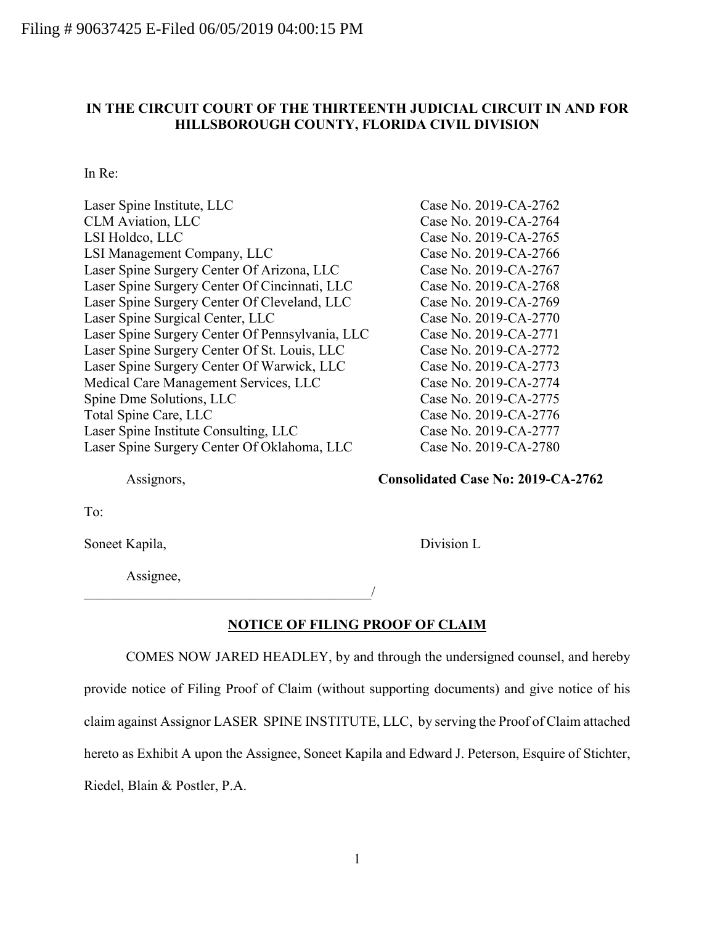### **IN THE CIRCUIT COURT OF THE THIRTEENTH JUDICIAL CIRCUIT IN AND FOR HILLSBOROUGH COUNTY, FLORIDA CIVIL DIVISION**

In Re:

| Laser Spine Institute, LLC                      | Case No. 2019-CA-2762 |
|-------------------------------------------------|-----------------------|
| <b>CLM</b> Aviation, LLC                        | Case No. 2019-CA-2764 |
| LSI Holdco, LLC                                 | Case No. 2019-CA-2765 |
| LSI Management Company, LLC                     | Case No. 2019-CA-2766 |
| Laser Spine Surgery Center Of Arizona, LLC      | Case No. 2019-CA-2767 |
| Laser Spine Surgery Center Of Cincinnati, LLC   | Case No. 2019-CA-2768 |
| Laser Spine Surgery Center Of Cleveland, LLC    | Case No. 2019-CA-2769 |
| Laser Spine Surgical Center, LLC                | Case No. 2019-CA-2770 |
| Laser Spine Surgery Center Of Pennsylvania, LLC | Case No. 2019-CA-2771 |
| Laser Spine Surgery Center Of St. Louis, LLC    | Case No. 2019-CA-2772 |
| Laser Spine Surgery Center Of Warwick, LLC      | Case No. 2019-CA-2773 |
| Medical Care Management Services, LLC           | Case No. 2019-CA-2774 |
| Spine Dme Solutions, LLC                        | Case No. 2019-CA-2775 |
| Total Spine Care, LLC                           | Case No. 2019-CA-2776 |
| Laser Spine Institute Consulting, LLC           | Case No. 2019-CA-2777 |
| Laser Spine Surgery Center Of Oklahoma, LLC     | Case No. 2019-CA-2780 |

Assignors, **Consolidated Case No: 2019-CA-2762**

To:

Soneet Kapila, Division L

Assignee,

 $\overline{\phantom{a}}$ 

**NOTICE OF FILING PROOF OF CLAIM**

COMES NOW JARED HEADLEY, by and through the undersigned counsel, and hereby provide notice of Filing Proof of Claim (without supporting documents) and give notice of his claim against Assignor LASER SPINE INSTITUTE, LLC, by serving the Proof of Claim attached hereto as Exhibit A upon the Assignee, Soneet Kapila and Edward J. Peterson, Esquire of Stichter, Riedel, Blain & Postler, P.A.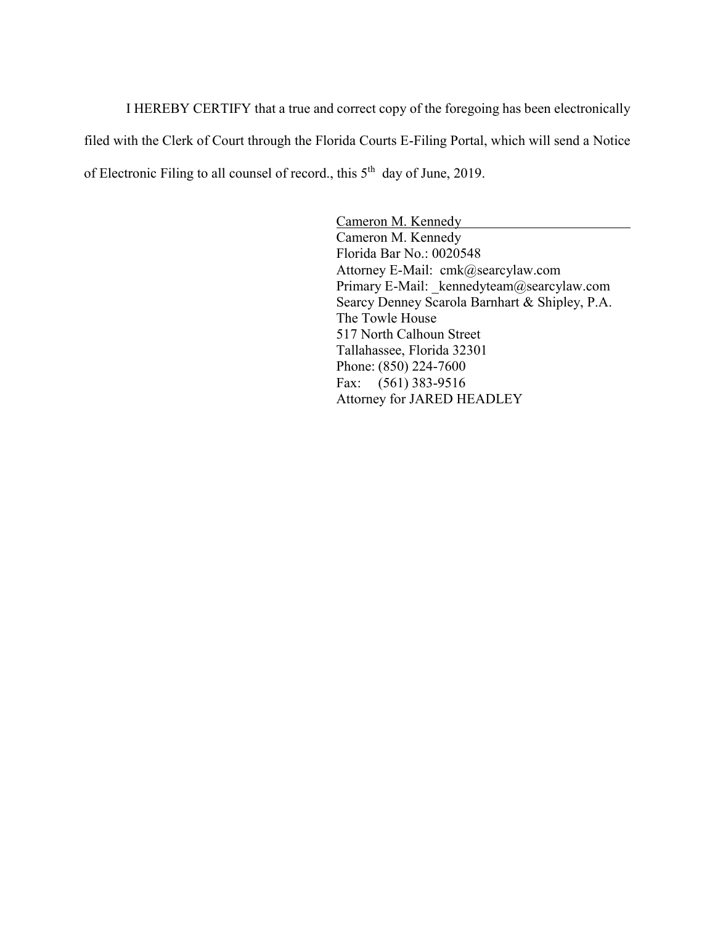I HEREBY CERTIFY that a true and correct copy of the foregoing has been electronically filed with the Clerk of Court through the Florida Courts E-Filing Portal, which will send a Notice of Electronic Filing to all counsel of record., this 5th day of June, 2019.

> Cameron M. Kennedy Cameron M. Kennedy Florida Bar No.: 0020548 Attorney E-Mail: cmk@searcylaw.com Primary E-Mail: kennedyteam@searcylaw.com Searcy Denney Scarola Barnhart & Shipley, P.A. The Towle House 517 North Calhoun Street Tallahassee, Florida 32301 Phone: (850) 224-7600 Fax: (561) 383-9516 Attorney for JARED HEADLEY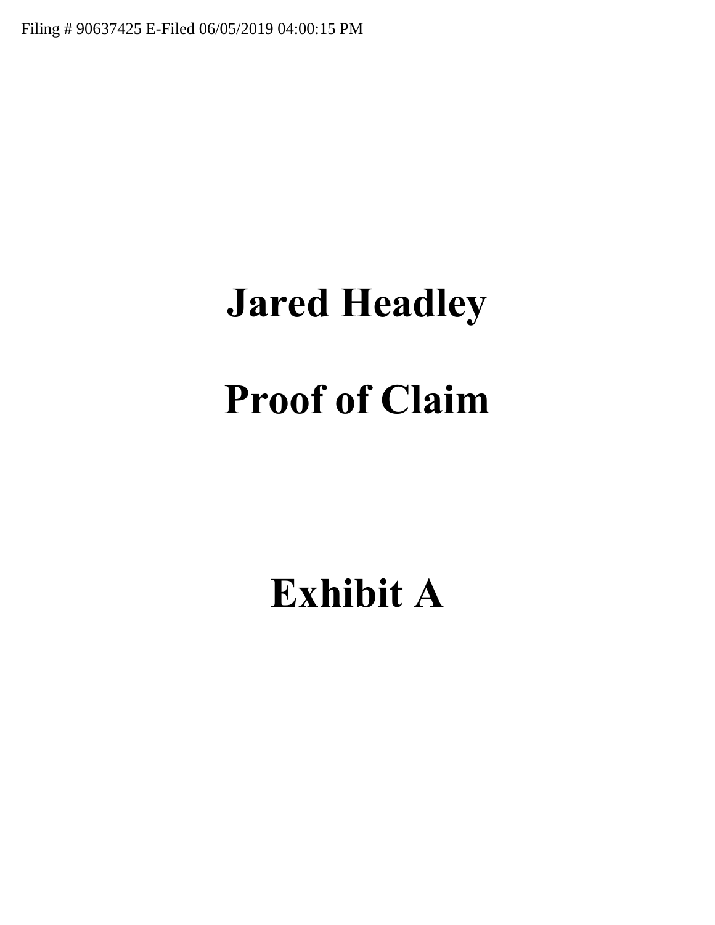Filing # 90637425 E-Filed 06/05/2019 04:00:15 PM

# **Jared Headley Proof of Claim**

# **Exhibit A**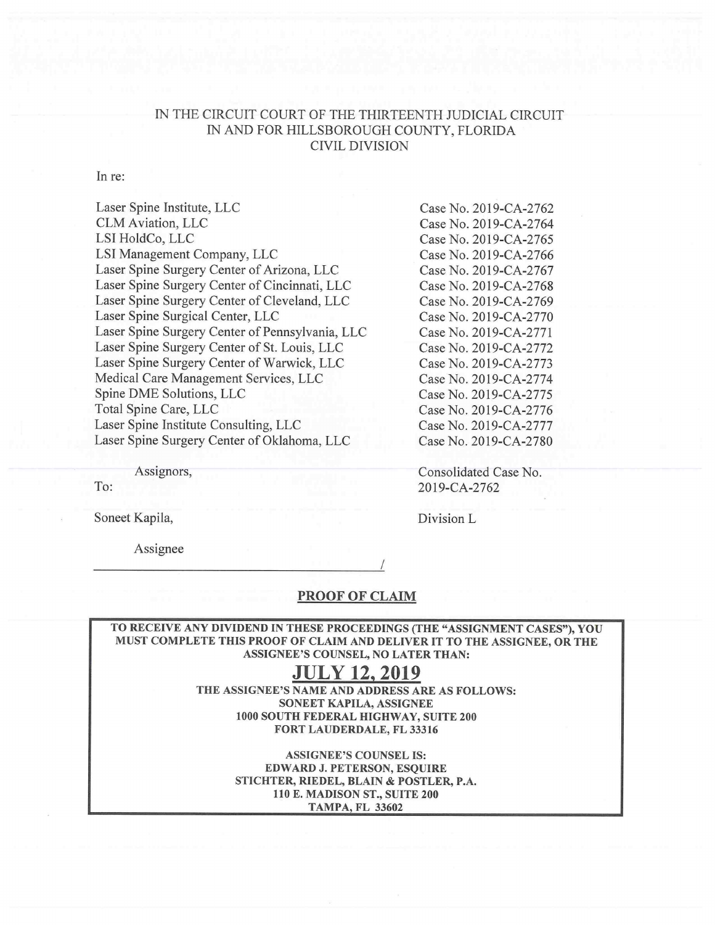#### IN THE CIRCUIT COURT OF THE THIRTEENTH JUDICIAL CIRCUIT IN AND FOR HILLSBOROUGH COUNTY, FLORIDA CIVIL DIVISION

#### In re:

Laser Spine Institute, LLC CLM Aviation, LLC LSI HoldCo, LLC LSI Management Company, LLC Laser Spine Surgery Center of Arizona, LLC Laser Spine Surgery Center of Cincinnati, LLC Laser Spine Surgery Center of Cleveland, LLC Laser Spine Surgical Center, LLC Laser Spine Surgery Center of Pennsylvania, LLC Laser Spine Surgery Center of St. Louis, LLC Laser Spine Surgery Center of Warwick, LLC Medical Care Management Services, LLC Spine DME Solutions, LLC Total Spine Care, LLC Laser Spine Institute Consulting, LLC Laser Spine Surgery Center of Oklahoma, LLC

Assignors,

To:

Soneet Kapila,

Assignee

Case No. 2019-CA-2762 Case No. 2019-CA-2764 Case No. 2019-CA-2765 Case No. 2019-CA-2766 Case No. 2019-CA-2767 Case No. 2019-CA-2768 Case No. 2019-CA-2769 Case No. 2019-CA-2770 Case No. 2019-CA-2771 Case No. 2019-CA-2772 Case No. 2019-CA-2773 Case No. 2019-CA-2774 Case No. 2019-CA-2775 Case No. 2019-CA-2776 Case No. 2019-CA-2777 Case No. 2019-CA-2780

Consolidated Case No. 2019-CA-2762

Division L

#### PROOF OF CLAIM

TO RECEIVE ANY DIVIDEND IN THESE PROCEEDINGS (THE "ASSIGNMENT CASES"), YOU MUST COMPLETE THIS PROOF OF CLAIM AND DELIVER IT TO THE ASSIGNEE, OR THE ASSIGNEE'S COUNSEL, NO LATER THAN:

## JULY 12, 2019

THE ASSIGNEE'S NAME AND ADDRESS ARE AS FOLLOWS: SONEET KAPILA, ASSIGNEE 1000 SOUTH FEDERAL HIGHWAY, SUITE 200 FORT LAUDERDALE, FL 33316

> ASSIGNEE'S COUNSEL IS: EDWARD J. PETERSON, ESQUIRE STICHTER, RIEDEL, BLAIN & POSTLER, P.A. 110 E. MADISON ST., SUITE 200 TAMPA, FL 33602